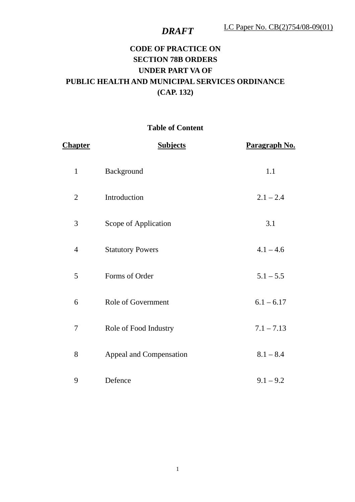## **CODE OF PRACTICE ON SECTION 78B ORDERS UNDER PART VA OF PUBLIC HEALTH AND MUNICIPAL SERVICES ORDINANCE (CAP. 132)**

### **Table of Content**

| <b>Chapter</b> | <b>Subjects</b>         | Paragraph No. |
|----------------|-------------------------|---------------|
| $\mathbf{1}$   | Background              | 1.1           |
| $\overline{2}$ | Introduction            | $2.1 - 2.4$   |
| 3              | Scope of Application    | 3.1           |
| $\overline{4}$ | <b>Statutory Powers</b> | $4.1 - 4.6$   |
| 5              | Forms of Order          | $5.1 - 5.5$   |
| 6              | Role of Government      | $6.1 - 6.17$  |
| 7              | Role of Food Industry   | $7.1 - 7.13$  |
| 8              | Appeal and Compensation | $8.1 - 8.4$   |
| 9              | Defence                 | $9.1 - 9.2$   |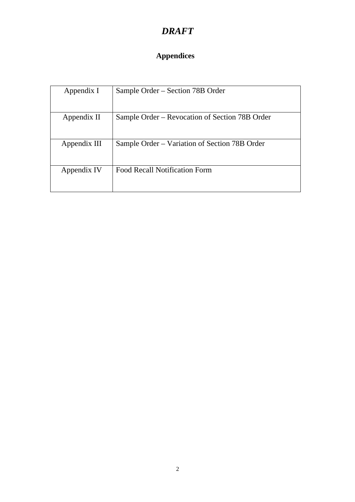# **Appendices**

| Appendix I   | Sample Order – Section 78B Order               |
|--------------|------------------------------------------------|
| Appendix II  | Sample Order – Revocation of Section 78B Order |
| Appendix III | Sample Order – Variation of Section 78B Order  |
| Appendix IV  | <b>Food Recall Notification Form</b>           |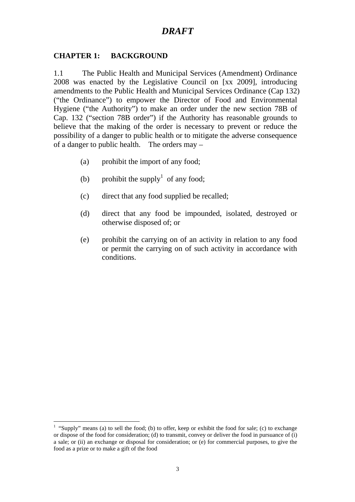#### **CHAPTER 1: BACKGROUND**

1.1 The Public Health and Municipal Services (Amendment) Ordinance 2008 was enacted by the Legislative Council on [xx 2009], introducing amendments to the Public Health and Municipal Services Ordinance (Cap 132) ("the Ordinance") to empower the Director of Food and Environmental Hygiene ("the Authority") to make an order under the new section 78B of Cap. 132 ("section 78B order") if the Authority has reasonable grounds to believe that the making of the order is necessary to prevent or reduce the possibility of a danger to public health or to mitigate the adverse consequence of a danger to public health. The orders may –

- (a) prohibit the import of any food;
- (b) prohibit the supply<sup>1</sup> of any food;
- (c) direct that any food supplied be recalled;
- (d) direct that any food be impounded, isolated, destroyed or otherwise disposed of; or
- (e) prohibit the carrying on of an activity in relation to any food or permit the carrying on of such activity in accordance with conditions.

 $\overline{a}$ <sup>1</sup> "Supply" means (a) to sell the food; (b) to offer, keep or exhibit the food for sale; (c) to exchange or dispose of the food for consideration; (d) to transmit, convey or deliver the food in pursuance of (i) a sale; or (ii) an exchange or disposal for consideration; or (e) for commercial purposes, to give the food as a prize or to make a gift of the food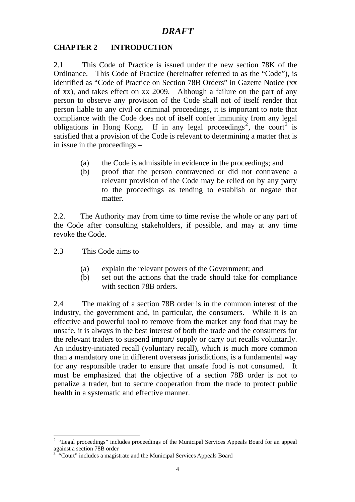#### **CHAPTER 2 INTRODUCTION**

2.1 This Code of Practice is issued under the new section 78K of the Ordinance. This Code of Practice (hereinafter referred to as the "Code"), is identified as "Code of Practice on Section 78B Orders" in Gazette Notice (xx of xx), and takes effect on xx 2009. Although a failure on the part of any person to observe any provision of the Code shall not of itself render that person liable to any civil or criminal proceedings, it is important to note that compliance with the Code does not of itself confer immunity from any legal obligations in Hong Kong. If in any legal proceedings<sup>2</sup>, the court<sup>3</sup> is satisfied that a provision of the Code is relevant to determining a matter that is in issue in the proceedings –

- (a) the Code is admissible in evidence in the proceedings; and
- (b) proof that the person contravened or did not contravene a relevant provision of the Code may be relied on by any party to the proceedings as tending to establish or negate that matter.

2.2. The Authority may from time to time revise the whole or any part of the Code after consulting stakeholders, if possible, and may at any time revoke the Code.

2.3 This Code aims to –

- (a) explain the relevant powers of the Government; and
- (b) set out the actions that the trade should take for compliance with section 78B orders.

2.4 The making of a section 78B order is in the common interest of the industry, the government and, in particular, the consumers. While it is an effective and powerful tool to remove from the market any food that may be unsafe, it is always in the best interest of both the trade and the consumers for the relevant traders to suspend import/ supply or carry out recalls voluntarily. An industry-initiated recall (voluntary recall), which is much more common than a mandatory one in different overseas jurisdictions, is a fundamental way for any responsible trader to ensure that unsafe food is not consumed. It must be emphasized that the objective of a section 78B order is not to penalize a trader, but to secure cooperation from the trade to protect public health in a systematic and effective manner.

 $\overline{a}$ <sup>2</sup> "Legal proceedings" includes proceedings of the Municipal Services Appeals Board for an appeal against a section 78B order

<sup>&</sup>lt;sup>3</sup> "Court" includes a magistrate and the Municipal Services Appeals Board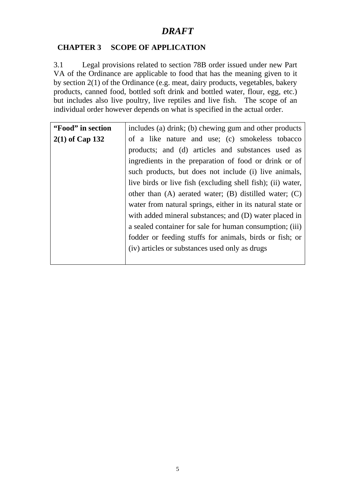#### **CHAPTER 3 SCOPE OF APPLICATION**

3.1 Legal provisions related to section 78B order issued under new Part VA of the Ordinance are applicable to food that has the meaning given to it by section 2(1) of the Ordinance (e.g. meat, dairy products, vegetables, bakery products, canned food, bottled soft drink and bottled water, flour, egg, etc.) but includes also live poultry, live reptiles and live fish. The scope of an individual order however depends on what is specified in the actual order.

| "Food" in section | includes (a) drink; (b) chewing gum and other products       |  |
|-------------------|--------------------------------------------------------------|--|
| $2(1)$ of Cap 132 | of a like nature and use; (c) smokeless tobacco              |  |
|                   | products; and (d) articles and substances used as            |  |
|                   | ingredients in the preparation of food or drink or of        |  |
|                   | such products, but does not include (i) live animals,        |  |
|                   | live birds or live fish (excluding shell fish); (ii) water,  |  |
|                   | other than $(A)$ aerated water; $(B)$ distilled water; $(C)$ |  |
|                   | water from natural springs, either in its natural state or   |  |
|                   | with added mineral substances; and (D) water placed in       |  |
|                   | a sealed container for sale for human consumption; (iii)     |  |
|                   | fodder or feeding stuffs for animals, birds or fish; or      |  |
|                   | (iv) articles or substances used only as drugs               |  |
|                   |                                                              |  |
|                   |                                                              |  |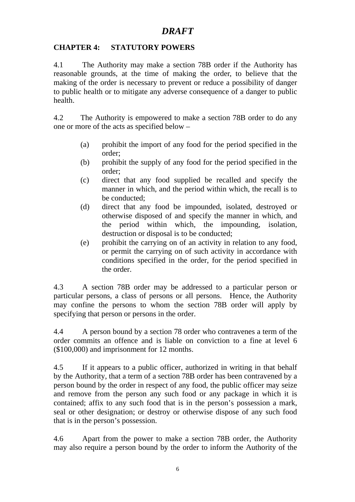#### **CHAPTER 4: STATUTORY POWERS**

4.1 The Authority may make a section 78B order if the Authority has reasonable grounds, at the time of making the order, to believe that the making of the order is necessary to prevent or reduce a possibility of danger to public health or to mitigate any adverse consequence of a danger to public health.

4.2 The Authority is empowered to make a section 78B order to do any one or more of the acts as specified below –

- (a) prohibit the import of any food for the period specified in the order;
- (b) prohibit the supply of any food for the period specified in the order;
- (c) direct that any food supplied be recalled and specify the manner in which, and the period within which, the recall is to be conducted;
- (d) direct that any food be impounded, isolated, destroyed or otherwise disposed of and specify the manner in which, and the period within which, the impounding, isolation, destruction or disposal is to be conducted;
- (e) prohibit the carrying on of an activity in relation to any food, or permit the carrying on of such activity in accordance with conditions specified in the order, for the period specified in the order.

4.3 A section 78B order may be addressed to a particular person or particular persons, a class of persons or all persons. Hence, the Authority may confine the persons to whom the section 78B order will apply by specifying that person or persons in the order.

4.4 A person bound by a section 78 order who contravenes a term of the order commits an offence and is liable on conviction to a fine at level 6 (\$100,000) and imprisonment for 12 months.

4.5 If it appears to a public officer, authorized in writing in that behalf by the Authority, that a term of a section 78B order has been contravened by a person bound by the order in respect of any food, the public officer may seize and remove from the person any such food or any package in which it is contained; affix to any such food that is in the person's possession a mark, seal or other designation; or destroy or otherwise dispose of any such food that is in the person's possession.

4.6 Apart from the power to make a section 78B order, the Authority may also require a person bound by the order to inform the Authority of the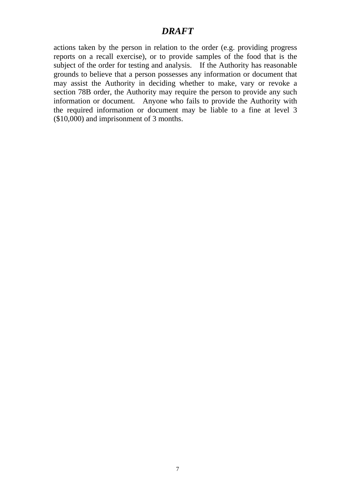actions taken by the person in relation to the order (e.g. providing progress reports on a recall exercise), or to provide samples of the food that is the subject of the order for testing and analysis. If the Authority has reasonable grounds to believe that a person possesses any information or document that may assist the Authority in deciding whether to make, vary or revoke a section 78B order, the Authority may require the person to provide any such information or document. Anyone who fails to provide the Authority with the required information or document may be liable to a fine at level 3 (\$10,000) and imprisonment of 3 months.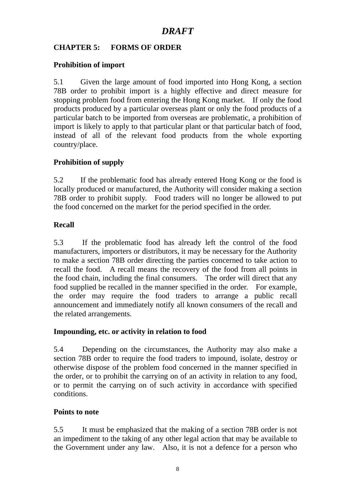### **CHAPTER 5: FORMS OF ORDER**

#### **Prohibition of import**

5.1 Given the large amount of food imported into Hong Kong, a section 78B order to prohibit import is a highly effective and direct measure for stopping problem food from entering the Hong Kong market. If only the food products produced by a particular overseas plant or only the food products of a particular batch to be imported from overseas are problematic, a prohibition of import is likely to apply to that particular plant or that particular batch of food, instead of all of the relevant food products from the whole exporting country/place.

### **Prohibition of supply**

5.2 If the problematic food has already entered Hong Kong or the food is locally produced or manufactured, the Authority will consider making a section 78B order to prohibit supply. Food traders will no longer be allowed to put the food concerned on the market for the period specified in the order.

#### **Recall**

5.3 If the problematic food has already left the control of the food manufacturers, importers or distributors, it may be necessary for the Authority to make a section 78B order directing the parties concerned to take action to recall the food. A recall means the recovery of the food from all points in the food chain, including the final consumers. The order will direct that any food supplied be recalled in the manner specified in the order. For example, the order may require the food traders to arrange a public recall announcement and immediately notify all known consumers of the recall and the related arrangements.

#### **Impounding, etc. or activity in relation to food**

5.4 Depending on the circumstances, the Authority may also make a section 78B order to require the food traders to impound, isolate, destroy or otherwise dispose of the problem food concerned in the manner specified in the order, or to prohibit the carrying on of an activity in relation to any food, or to permit the carrying on of such activity in accordance with specified conditions.

#### **Points to note**

5.5 It must be emphasized that the making of a section 78B order is not an impediment to the taking of any other legal action that may be available to the Government under any law. Also, it is not a defence for a person who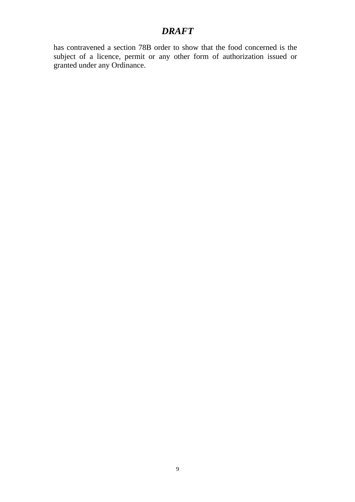has contravened a section 78B order to show that the food concerned is the subject of a licence, permit or any other form of authorization issued or granted under any Ordinance.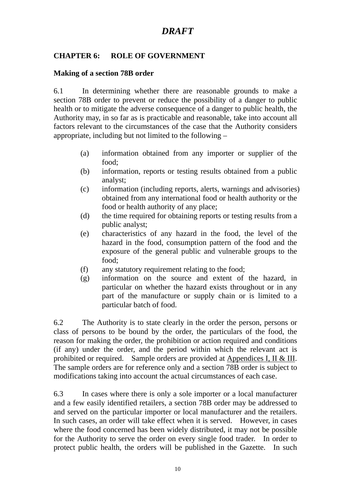### **CHAPTER 6: ROLE OF GOVERNMENT**

#### **Making of a section 78B order**

6.1 In determining whether there are reasonable grounds to make a section 78B order to prevent or reduce the possibility of a danger to public health or to mitigate the adverse consequence of a danger to public health, the Authority may, in so far as is practicable and reasonable, take into account all factors relevant to the circumstances of the case that the Authority considers appropriate, including but not limited to the following –

- (a) information obtained from any importer or supplier of the food;
- (b) information, reports or testing results obtained from a public analyst;
- (c) information (including reports, alerts, warnings and advisories) obtained from any international food or health authority or the food or health authority of any place;
- (d) the time required for obtaining reports or testing results from a public analyst;
- (e) characteristics of any hazard in the food, the level of the hazard in the food, consumption pattern of the food and the exposure of the general public and vulnerable groups to the food;
- (f) any statutory requirement relating to the food;
- (g) information on the source and extent of the hazard, in particular on whether the hazard exists throughout or in any part of the manufacture or supply chain or is limited to a particular batch of food.

6.2 The Authority is to state clearly in the order the person, persons or class of persons to be bound by the order, the particulars of the food, the reason for making the order, the prohibition or action required and conditions (if any) under the order, and the period within which the relevant act is prohibited or required. Sample orders are provided at Appendices I, II & III. The sample orders are for reference only and a section 78B order is subject to modifications taking into account the actual circumstances of each case.

6.3 In cases where there is only a sole importer or a local manufacturer and a few easily identified retailers, a section 78B order may be addressed to and served on the particular importer or local manufacturer and the retailers. In such cases, an order will take effect when it is served. However, in cases where the food concerned has been widely distributed, it may not be possible for the Authority to serve the order on every single food trader. In order to protect public health, the orders will be published in the Gazette. In such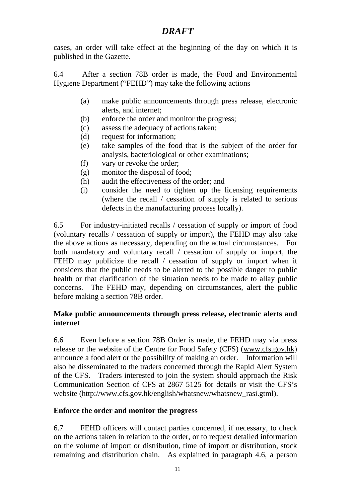cases, an order will take effect at the beginning of the day on which it is published in the Gazette.

6.4 After a section 78B order is made, the Food and Environmental Hygiene Department ("FEHD") may take the following actions –

- (a) make public announcements through press release, electronic alerts, and internet;
- (b) enforce the order and monitor the progress;
- (c) assess the adequacy of actions taken;
- (d) request for information;
- (e) take samples of the food that is the subject of the order for analysis, bacteriological or other examinations;
- (f) vary or revoke the order;
- (g) monitor the disposal of food;
- (h) audit the effectiveness of the order; and
- (i) consider the need to tighten up the licensing requirements (where the recall / cessation of supply is related to serious defects in the manufacturing process locally).

6.5 For industry-initiated recalls / cessation of supply or import of food (voluntary recalls / cessation of supply or import), the FEHD may also take the above actions as necessary, depending on the actual circumstances. For both mandatory and voluntary recall / cessation of supply or import, the FEHD may publicize the recall / cessation of supply or import when it considers that the public needs to be alerted to the possible danger to public health or that clarification of the situation needs to be made to allay public concerns. The FEHD may, depending on circumstances, alert the public before making a section 78B order.

#### **Make public announcements through press release, electronic alerts and internet**

6.6 Even before a section 78B Order is made, the FEHD may via press release or the website of the Centre for Food Safety (CFS) (www.cfs.gov.hk) announce a food alert or the possibility of making an order. Information will also be disseminated to the traders concerned through the Rapid Alert System of the CFS. Traders interested to join the system should approach the Risk Communication Section of CFS at 2867 5125 for details or visit the CFS's website (http://www.cfs.gov.hk/english/whatsnew/whatsnew\_rasi.gtml).

#### **Enforce the order and monitor the progress**

6.7 FEHD officers will contact parties concerned, if necessary, to check on the actions taken in relation to the order, or to request detailed information on the volume of import or distribution, time of import or distribution, stock remaining and distribution chain. As explained in paragraph 4.6, a person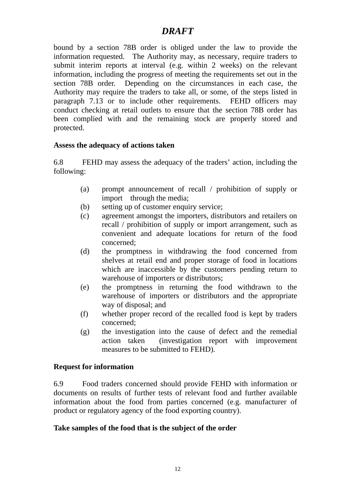bound by a section 78B order is obliged under the law to provide the information requested. The Authority may, as necessary, require traders to submit interim reports at interval (e.g. within 2 weeks) on the relevant information, including the progress of meeting the requirements set out in the section 78B order. Depending on the circumstances in each case, the Authority may require the traders to take all, or some, of the steps listed in paragraph 7.13 or to include other requirements. FEHD officers may conduct checking at retail outlets to ensure that the section 78B order has been complied with and the remaining stock are properly stored and protected.

#### **Assess the adequacy of actions taken**

6.8 FEHD may assess the adequacy of the traders' action, including the following:

- (a) prompt announcement of recall / prohibition of supply or import through the media;
- (b) setting up of customer enquiry service:
- (c) agreement amongst the importers, distributors and retailers on recall / prohibition of supply or import arrangement, such as convenient and adequate locations for return of the food concerned;
- (d) the promptness in withdrawing the food concerned from shelves at retail end and proper storage of food in locations which are inaccessible by the customers pending return to warehouse of importers or distributors;
- (e) the promptness in returning the food withdrawn to the warehouse of importers or distributors and the appropriate way of disposal; and
- (f) whether proper record of the recalled food is kept by traders concerned;
- (g) the investigation into the cause of defect and the remedial action taken (investigation report with improvement measures to be submitted to FEHD).

#### **Request for information**

6.9 Food traders concerned should provide FEHD with information or documents on results of further tests of relevant food and further available information about the food from parties concerned (e.g. manufacturer of product or regulatory agency of the food exporting country).

#### **Take samples of the food that is the subject of the order**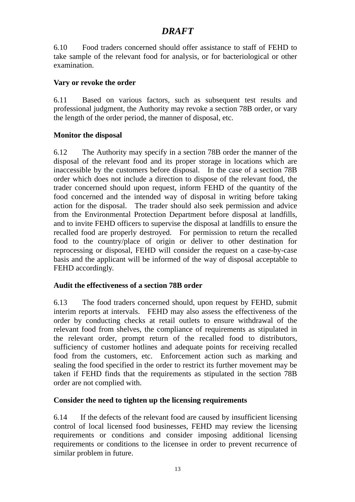6.10 Food traders concerned should offer assistance to staff of FEHD to take sample of the relevant food for analysis, or for bacteriological or other examination.

#### **Vary or revoke the order**

6.11 Based on various factors, such as subsequent test results and professional judgment, the Authority may revoke a section 78B order, or vary the length of the order period, the manner of disposal, etc.

#### **Monitor the disposal**

6.12 The Authority may specify in a section 78B order the manner of the disposal of the relevant food and its proper storage in locations which are inaccessible by the customers before disposal. In the case of a section 78B order which does not include a direction to dispose of the relevant food, the trader concerned should upon request, inform FEHD of the quantity of the food concerned and the intended way of disposal in writing before taking action for the disposal. The trader should also seek permission and advice from the Environmental Protection Department before disposal at landfills, and to invite FEHD officers to supervise the disposal at landfills to ensure the recalled food are properly destroyed. For permission to return the recalled food to the country/place of origin or deliver to other destination for reprocessing or disposal, FEHD will consider the request on a case-by-case basis and the applicant will be informed of the way of disposal acceptable to FEHD accordingly.

#### **Audit the effectiveness of a section 78B order**

6.13 The food traders concerned should, upon request by FEHD, submit interim reports at intervals. FEHD may also assess the effectiveness of the order by conducting checks at retail outlets to ensure withdrawal of the relevant food from shelves, the compliance of requirements as stipulated in the relevant order, prompt return of the recalled food to distributors, sufficiency of customer hotlines and adequate points for receiving recalled food from the customers, etc. Enforcement action such as marking and sealing the food specified in the order to restrict its further movement may be taken if FEHD finds that the requirements as stipulated in the section 78B order are not complied with.

#### **Consider the need to tighten up the licensing requirements**

6.14 If the defects of the relevant food are caused by insufficient licensing control of local licensed food businesses, FEHD may review the licensing requirements or conditions and consider imposing additional licensing requirements or conditions to the licensee in order to prevent recurrence of similar problem in future.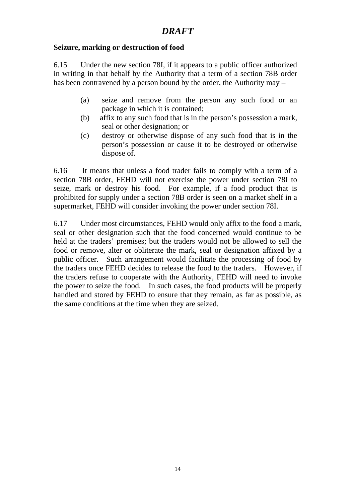#### **Seizure, marking or destruction of food**

6.15 Under the new section 78I, if it appears to a public officer authorized in writing in that behalf by the Authority that a term of a section 78B order has been contravened by a person bound by the order, the Authority may –

- (a) seize and remove from the person any such food or an package in which it is contained;
- (b) affix to any such food that is in the person's possession a mark, seal or other designation; or
- (c) destroy or otherwise dispose of any such food that is in the person's possession or cause it to be destroyed or otherwise dispose of.

6.16 It means that unless a food trader fails to comply with a term of a section 78B order, FEHD will not exercise the power under section 78I to seize, mark or destroy his food. For example, if a food product that is prohibited for supply under a section 78B order is seen on a market shelf in a supermarket, FEHD will consider invoking the power under section 78I.

6.17 Under most circumstances, FEHD would only affix to the food a mark, seal or other designation such that the food concerned would continue to be held at the traders' premises; but the traders would not be allowed to sell the food or remove, alter or obliterate the mark, seal or designation affixed by a public officer. Such arrangement would facilitate the processing of food by the traders once FEHD decides to release the food to the traders. However, if the traders refuse to cooperate with the Authority, FEHD will need to invoke the power to seize the food. In such cases, the food products will be properly handled and stored by FEHD to ensure that they remain, as far as possible, as the same conditions at the time when they are seized.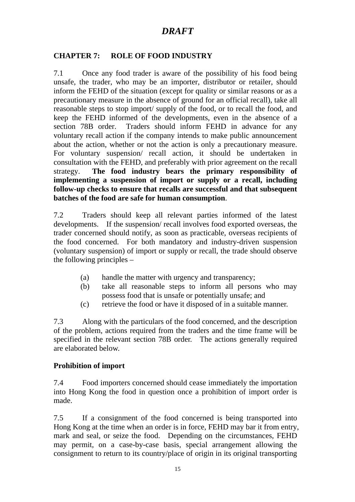### **CHAPTER 7: ROLE OF FOOD INDUSTRY**

7.1 Once any food trader is aware of the possibility of his food being unsafe, the trader, who may be an importer, distributor or retailer, should inform the FEHD of the situation (except for quality or similar reasons or as a precautionary measure in the absence of ground for an official recall), take all reasonable steps to stop import/ supply of the food, or to recall the food, and keep the FEHD informed of the developments, even in the absence of a section 78B order. Traders should inform FEHD in advance for any voluntary recall action if the company intends to make public announcement about the action, whether or not the action is only a precautionary measure. For voluntary suspension/ recall action, it should be undertaken in consultation with the FEHD, and preferably with prior agreement on the recall strategy. **The food industry bears the primary responsibility of implementing a suspension of import or supply or a recall, including follow-up checks to ensure that recalls are successful and that subsequent batches of the food are safe for human consumption**.

7.2 Traders should keep all relevant parties informed of the latest developments. If the suspension/ recall involves food exported overseas, the trader concerned should notify, as soon as practicable, overseas recipients of the food concerned. For both mandatory and industry-driven suspension (voluntary suspension) of import or supply or recall, the trade should observe the following principles –

- (a) handle the matter with urgency and transparency;
- (b) take all reasonable steps to inform all persons who may possess food that is unsafe or potentially unsafe; and
- (c) retrieve the food or have it disposed of in a suitable manner.

7.3 Along with the particulars of the food concerned, and the description of the problem, actions required from the traders and the time frame will be specified in the relevant section 78B order. The actions generally required are elaborated below.

#### **Prohibition of import**

7.4 Food importers concerned should cease immediately the importation into Hong Kong the food in question once a prohibition of import order is made.

7.5 If a consignment of the food concerned is being transported into Hong Kong at the time when an order is in force, FEHD may bar it from entry, mark and seal, or seize the food. Depending on the circumstances, FEHD may permit, on a case-by-case basis, special arrangement allowing the consignment to return to its country/place of origin in its original transporting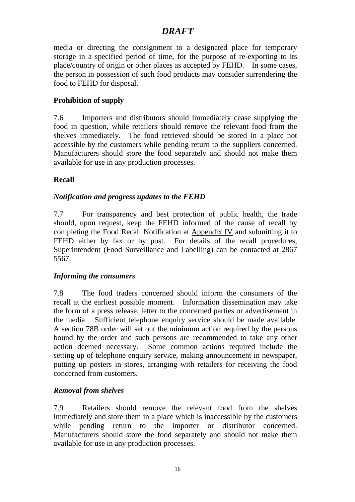media or directing the consignment to a designated place for temporary storage in a specified period of time, for the purpose of re-exporting to its place/country of origin or other places as accepted by FEHD. In some cases, the person in possession of such food products may consider surrendering the food to FEHD for disposal.

### **Prohibition of supply**

7.6 Importers and distributors should immediately cease supplying the food in question, while retailers should remove the relevant food from the shelves immediately. The food retrieved should be stored in a place not accessible by the customers while pending return to the suppliers concerned. Manufacturers should store the food separately and should not make them available for use in any production processes.

#### **Recall**

#### *Notification and progress updates to the FEHD*

7.7For transparency and best protection of public health, the trade should, upon request, keep the FEHD informed of the cause of recall by completing the Food Recall Notification at Appendix IV and submitting it to FEHD either by fax or by post. For details of the recall procedures, Superintendent (Food Surveillance and Labelling) can be contacted at 2867 5567.

#### *Informing the consumers*

7.8 The food traders concerned should inform the consumers of the recall at the earliest possible moment. Information dissemination may take the form of a press release, letter to the concerned parties or advertisement in the media. Sufficient telephone enquiry service should be made available. A section 78B order will set out the minimum action required by the persons bound by the order and such persons are recommended to take any other action deemed necessary. Some common actions required include the setting up of telephone enquiry service, making announcement in newspaper, putting up posters in stores, arranging with retailers for receiving the food concerned from customers.

#### *Removal from shelves*

7.9 Retailers should remove the relevant food from the shelves immediately and store them in a place which is inaccessible by the customers while pending return to the importer or distributor concerned. Manufacturers should store the food separately and should not make them available for use in any production processes.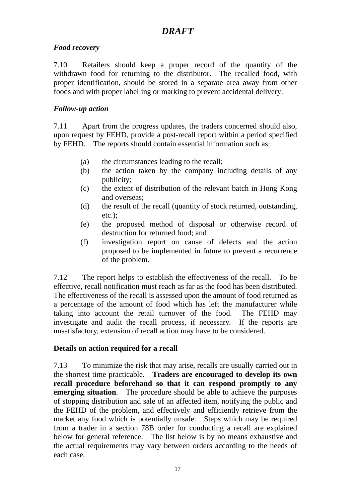#### *Food recovery*

7.10 Retailers should keep a proper record of the quantity of the withdrawn food for returning to the distributor. The recalled food, with proper identification, should be stored in a separate area away from other foods and with proper labelling or marking to prevent accidental delivery.

#### *Follow-up action*

7.11 Apart from the progress updates, the traders concerned should also, upon request by FEHD, provide a post-recall report within a period specified by FEHD. The reports should contain essential information such as:

- (a) the circumstances leading to the recall;
- (b) the action taken by the company including details of any publicity;
- (c) the extent of distribution of the relevant batch in Hong Kong and overseas;
- (d) the result of the recall (quantity of stock returned, outstanding, etc.);
- (e) the proposed method of disposal or otherwise record of destruction for returned food; and
- (f) investigation report on cause of defects and the action proposed to be implemented in future to prevent a recurrence of the problem.

7.12 The report helps to establish the effectiveness of the recall. To be effective, recall notification must reach as far as the food has been distributed. The effectiveness of the recall is assessed upon the amount of food returned as a percentage of the amount of food which has left the manufacturer while taking into account the retail turnover of the food. The FEHD may investigate and audit the recall process, if necessary. If the reports are unsatisfactory, extension of recall action may have to be considered.

#### **Details on action required for a recall**

7.13 To minimize the risk that may arise, recalls are usually carried out in the shortest time practicable. **Traders are encouraged to develop its own**  recall procedure beforehand so that it can respond promptly to any **emerging situation**. The procedure should be able to achieve the purposes of stopping distribution and sale of an affected item, notifying the public and the FEHD of the problem, and effectively and efficiently retrieve from the market any food which is potentially unsafe. Steps which may be required from a trader in a section 78B order for conducting a recall are explained below for general reference. The list below is by no means exhaustive and the actual requirements may vary between orders according to the needs of each case.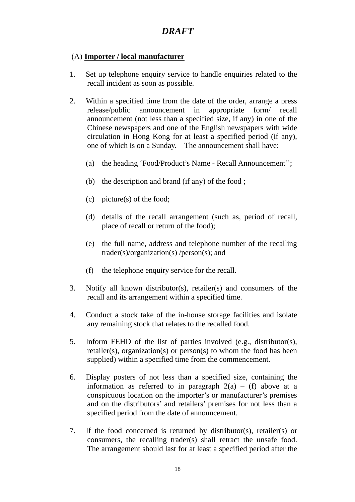#### (A) **Importer / local manufacturer**

- 1. Set up telephone enquiry service to handle enquiries related to the recall incident as soon as possible.
- 2. Within a specified time from the date of the order, arrange a press release/public announcement in appropriate form/ recall announcement (not less than a specified size, if any) in one of the Chinese newspapers and one of the English newspapers with wide circulation in Hong Kong for at least a specified period (if any), one of which is on a Sunday. The announcement shall have:
	- (a) the heading 'Food/Product's Name Recall Announcement'';
	- (b) the description and brand (if any) of the food ;
	- (c) picture(s) of the food;
	- (d) details of the recall arrangement (such as, period of recall, place of recall or return of the food);
	- (e) the full name, address and telephone number of the recalling trader(s)/organization(s) /person(s); and
	- (f) the telephone enquiry service for the recall.
- 3. Notify all known distributor(s), retailer(s) and consumers of the recall and its arrangement within a specified time.
- 4. Conduct a stock take of the in-house storage facilities and isolate any remaining stock that relates to the recalled food.
- 5. Inform FEHD of the list of parties involved (e.g., distributor(s), retailer(s), organization(s) or person(s) to whom the food has been supplied) within a specified time from the commencement.
- 6. Display posters of not less than a specified size, containing the information as referred to in paragraph  $2(a)$  – (f) above at a conspicuous location on the importer's or manufacturer's premises and on the distributors' and retailers' premises for not less than a specified period from the date of announcement.
- 7. If the food concerned is returned by distributor(s), retailer(s) or consumers, the recalling trader(s) shall retract the unsafe food. The arrangement should last for at least a specified period after the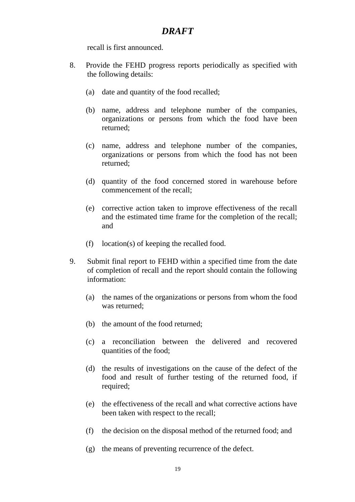recall is first announced.

- 8. Provide the FEHD progress reports periodically as specified with the following details:
	- (a) date and quantity of the food recalled;
	- (b) name, address and telephone number of the companies, organizations or persons from which the food have been returned;
	- (c) name, address and telephone number of the companies, organizations or persons from which the food has not been returned;
	- (d) quantity of the food concerned stored in warehouse before commencement of the recall;
	- (e) corrective action taken to improve effectiveness of the recall and the estimated time frame for the completion of the recall; and
	- (f) location(s) of keeping the recalled food.
- 9. Submit final report to FEHD within a specified time from the date of completion of recall and the report should contain the following information:
	- (a) the names of the organizations or persons from whom the food was returned;
	- (b) the amount of the food returned;
	- (c) a reconciliation between the delivered and recovered quantities of the food;
	- (d) the results of investigations on the cause of the defect of the food and result of further testing of the returned food, if required;
	- (e) the effectiveness of the recall and what corrective actions have been taken with respect to the recall;
	- (f) the decision on the disposal method of the returned food; and
	- (g) the means of preventing recurrence of the defect.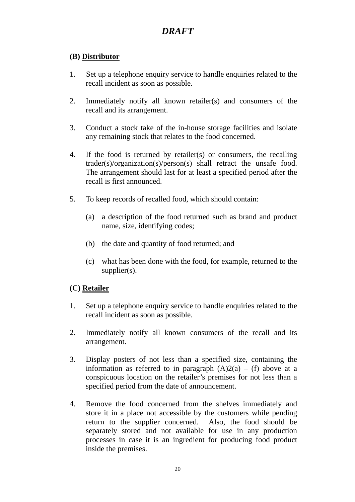### **(B) Distributor**

- 1. Set up a telephone enquiry service to handle enquiries related to the recall incident as soon as possible.
- 2. Immediately notify all known retailer(s) and consumers of the recall and its arrangement.
- 3. Conduct a stock take of the in-house storage facilities and isolate any remaining stock that relates to the food concerned.
- 4. If the food is returned by retailer(s) or consumers, the recalling trader(s)/organization(s)/person(s) shall retract the unsafe food. The arrangement should last for at least a specified period after the recall is first announced.
- 5. To keep records of recalled food, which should contain:
	- (a) a description of the food returned such as brand and product name, size, identifying codes;
	- (b) the date and quantity of food returned; and
	- (c) what has been done with the food, for example, returned to the supplier(s).

#### **(C) Retailer**

- 1. Set up a telephone enquiry service to handle enquiries related to the recall incident as soon as possible.
- 2. Immediately notify all known consumers of the recall and its arrangement.
- 3. Display posters of not less than a specified size, containing the information as referred to in paragraph  $(A)2(a) - (f)$  above at a conspicuous location on the retailer's premises for not less than a specified period from the date of announcement.
- 4. Remove the food concerned from the shelves immediately and store it in a place not accessible by the customers while pending return to the supplier concerned. Also, the food should be separately stored and not available for use in any production processes in case it is an ingredient for producing food product inside the premises.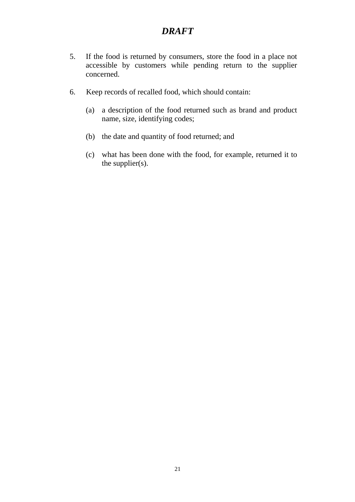- 5. If the food is returned by consumers, store the food in a place not accessible by customers while pending return to the supplier concerned.
- 6. Keep records of recalled food, which should contain:
	- (a) a description of the food returned such as brand and product name, size, identifying codes;
	- (b) the date and quantity of food returned; and
	- (c) what has been done with the food, for example, returned it to the supplier(s).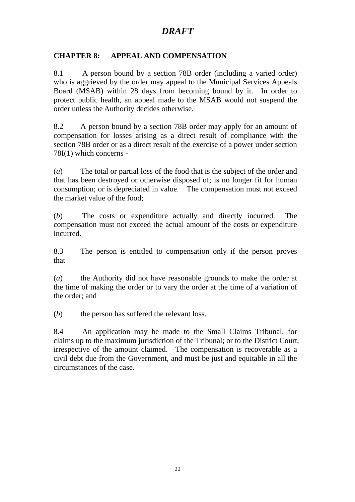#### **CHAPTER 8: APPEAL AND COMPENSATION**

8.1 A person bound by a section 78B order (including a varied order) who is aggrieved by the order may appeal to the Municipal Services Appeals Board (MSAB) within 28 days from becoming bound by it. In order to protect public health, an appeal made to the MSAB would not suspend the order unless the Authority decides otherwise.

8.2 A person bound by a section 78B order may apply for an amount of compensation for losses arising as a direct result of compliance with the section 78B order or as a direct result of the exercise of a power under section 78I(1) which concerns -

(*a*) The total or partial loss of the food that is the subject of the order and that has been destroyed or otherwise disposed of; is no longer fit for human consumption; or is depreciated in value. The compensation must not exceed the market value of the food;

(*b*) The costs or expenditure actually and directly incurred. The compensation must not exceed the actual amount of the costs or expenditure incurred.

8.3 The person is entitled to compensation only if the person proves that –

(*a*) the Authority did not have reasonable grounds to make the order at the time of making the order or to vary the order at the time of a variation of the order; and

(*b*) the person has suffered the relevant loss.

8.4 An application may be made to the Small Claims Tribunal, for claims up to the maximum jurisdiction of the Tribunal; or to the District Court, irrespective of the amount claimed. The compensation is recoverable as a civil debt due from the Government, and must be just and equitable in all the circumstances of the case.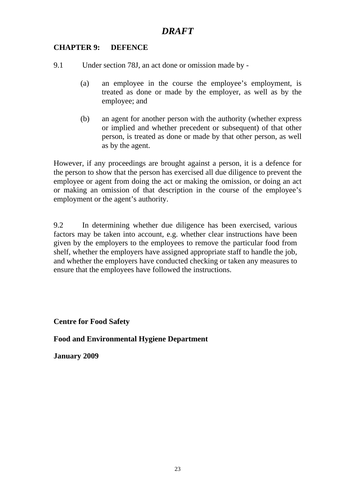#### **CHAPTER 9: DEFENCE**

9.1 Under section 78J, an act done or omission made by -

- (a) an employee in the course the employee's employment, is treated as done or made by the employer, as well as by the employee; and
- (b) an agent for another person with the authority (whether express or implied and whether precedent or subsequent) of that other person, is treated as done or made by that other person, as well as by the agent.

However, if any proceedings are brought against a person, it is a defence for the person to show that the person has exercised all due diligence to prevent the employee or agent from doing the act or making the omission, or doing an act or making an omission of that description in the course of the employee's employment or the agent's authority.

9.2 In determining whether due diligence has been exercised, various factors may be taken into account, e.g. whether clear instructions have been given by the employers to the employees to remove the particular food from shelf, whether the employers have assigned appropriate staff to handle the job, and whether the employers have conducted checking or taken any measures to ensure that the employees have followed the instructions.

**Centre for Food Safety** 

**Food and Environmental Hygiene Department** 

**January 2009**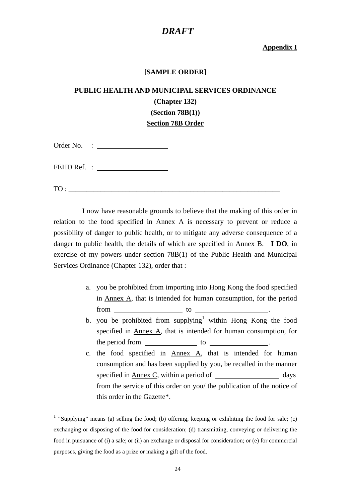#### **Appendix I**

#### **[SAMPLE ORDER]**

## **PUBLIC HEALTH AND MUNICIPAL SERVICES ORDINANCE (Chapter 132) (Section 78B(1)) Section 78B Order**

| Order No. |  |
|-----------|--|
|           |  |

FEHD Ref. :

TO : \_\_\_\_\_\_\_\_\_\_\_\_\_\_\_\_\_\_\_\_\_\_\_\_\_\_\_\_\_\_\_\_\_\_\_\_\_\_\_\_\_\_\_\_\_\_\_\_\_\_\_\_\_\_\_\_\_\_\_

 I now have reasonable grounds to believe that the making of this order in relation to the food specified in Annex A is necessary to prevent or reduce a possibility of danger to public health, or to mitigate any adverse consequence of a danger to public health, the details of which are specified in Annex B. **I DO**, in exercise of my powers under section 78B(1) of the Public Health and Municipal Services Ordinance (Chapter 132), order that :

- a. you be prohibited from importing into Hong Kong the food specified in Annex A, that is intended for human consumption, for the period  $from$   $\qquad \qquad$  to  $\qquad \qquad$
- b. you be prohibited from supplying<sup>1</sup> within Hong Kong the food specified in Annex A, that is intended for human consumption, for the period from to ...
- c. the food specified in Annex A, that is intended for human consumption and has been supplied by you, be recalled in the manner specified in Annex C, within a period of days from the service of this order on you/ the publication of the notice of this order in the Gazette\*.

<sup>1</sup> "Supplying" means (a) selling the food; (b) offering, keeping or exhibiting the food for sale; (c) exchanging or disposing of the food for consideration; (d) transmitting, conveying or delivering the food in pursuance of (i) a sale; or (ii) an exchange or disposal for consideration; or (e) for commercial purposes, giving the food as a prize or making a gift of the food.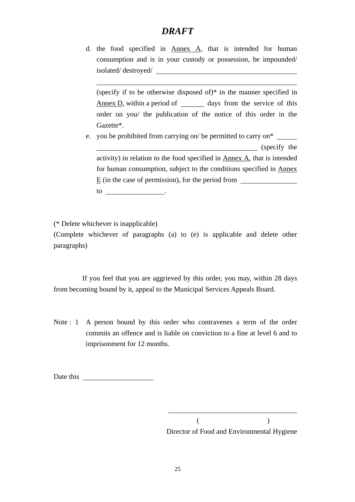d. the food specified in Annex A, that is intended for human consumption and is in your custody or possession, be impounded/ isolated/ destroyed/

(specify if to be otherwise disposed of)\* in the manner specified in  $\Delta$ nnex  $D$ , within a period of  $\Delta$  days from the service of this order on you/ the publication of the notice of this order in the Gazette\*.

e. you be prohibited from carrying on/ be permitted to carry on\* (specify the activity) in relation to the food specified in  $\Delta$ <sub>nnex</sub>  $\Delta$ , that is intended for human consumption, subject to the conditions specified in Annex E (in the case of permission), for the period from to .

(\* Delete whichever is inapplicable)

 $\overline{a}$ 

(Complete whichever of paragraphs (a) to (e) is applicable and delete other paragraphs)

 If you feel that you are aggrieved by this order, you may, within 28 days from becoming bound by it, appeal to the Municipal Services Appeals Board.

Note : 1 A person bound by this order who contravenes a term of the order commits an offence and is liable on conviction to a fine at level 6 and to imprisonment for 12 months.

Date this

 $($ Director of Food and Environmental Hygiene

 $\overline{a}$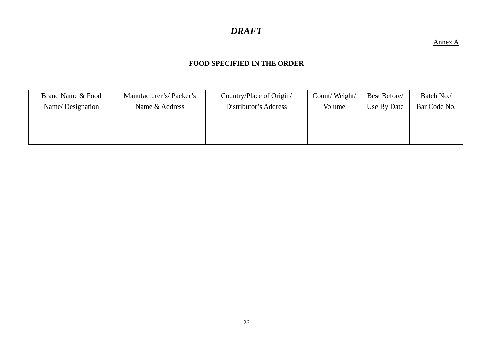#### Annex A

#### **FOOD SPECIFIED IN THE ORDER**

| Brand Name & Food | Manufacturer's/Packer's | Country/Place of Origin/ | Count/Weight/ | Best Before/ | Batch No./   |
|-------------------|-------------------------|--------------------------|---------------|--------------|--------------|
| Name/Designation  | Name & Address          | Distributor's Address    | Volume        | Use By Date  | Bar Code No. |
|                   |                         |                          |               |              |              |
|                   |                         |                          |               |              |              |
|                   |                         |                          |               |              |              |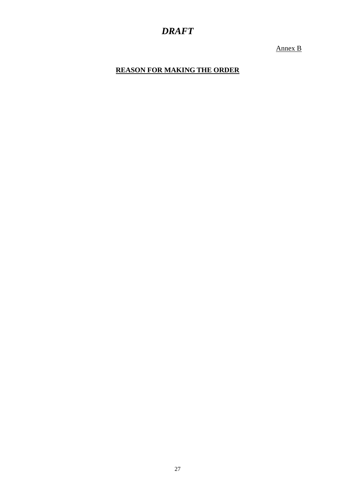Annex B

**REASON FOR MAKING THE ORDER**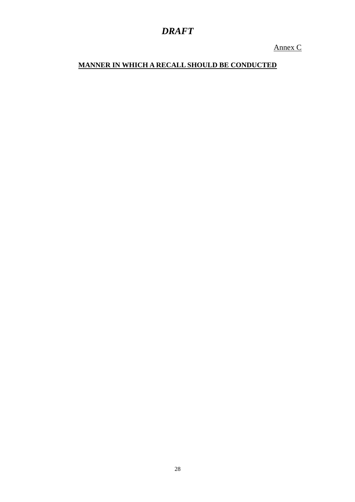Annex C

## **MANNER IN WHICH A RECALL SHOULD BE CONDUCTED**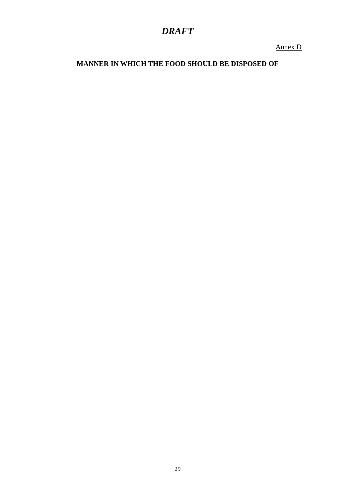Annex D

**MANNER IN WHICH THE FOOD SHOULD BE DISPOSED OF**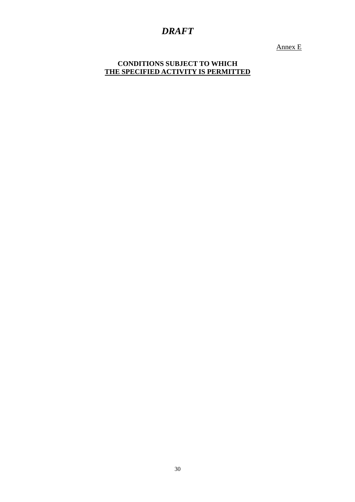Annex E

**CONDITIONS SUBJECT TO WHICH THE SPECIFIED ACTIVITY IS PERMITTED**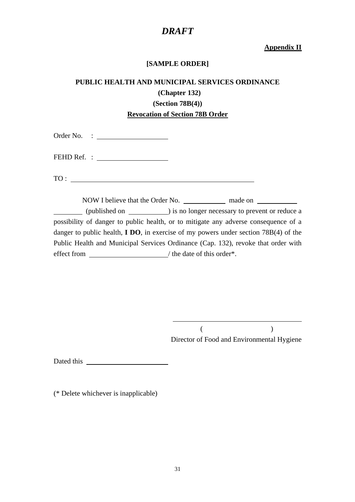#### **Appendix II**

#### **[SAMPLE ORDER]**

## **PUBLIC HEALTH AND MUNICIPAL SERVICES ORDINANCE (Chapter 132) (Section 78B(4)) Revocation of Section 78B Order**

Order No. :

FEHD Ref. :

TO :

NOW I believe that the Order No. 1000 made on (published on ) is no longer necessary to prevent or reduce a possibility of danger to public health, or to mitigate any adverse consequence of a danger to public health, **I DO**, in exercise of my powers under section 78B(4) of the Public Health and Municipal Services Ordinance (Cap. 132), revoke that order with effect from \_\_\_\_\_\_\_\_\_\_\_\_\_\_\_\_\_\_\_\_/ the date of this order\*.

 $\overline{a}$ 

 $($ Director of Food and Environmental Hygiene

Dated this produce the set of  $\mathcal{L}$ 

(\* Delete whichever is inapplicable)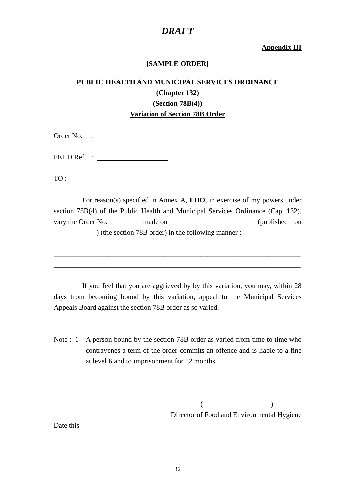#### **Appendix III**

#### **[SAMPLE ORDER]**

## **PUBLIC HEALTH AND MUNICIPAL SERVICES ORDINANCE (Chapter 132) (Section 78B(4)) Variation of Section 78B Order**

Order No. :

FEHD Ref. :

TO :

 For reason(s) specified in Annex A, **I DO**, in exercise of my powers under section 78B(4) of the Public Health and Municipal Services Ordinance (Cap. 132), vary the Order No. made on (published on (published on ) (the section 78B order) in the following manner :

\_\_\_\_\_\_\_\_\_\_\_\_\_\_\_\_\_\_\_\_\_\_\_\_\_\_\_\_\_\_\_\_\_\_\_\_\_\_\_\_\_\_\_\_\_\_\_\_\_\_\_\_\_\_\_\_\_\_\_\_\_\_\_\_\_\_\_\_\_ \_\_\_\_\_\_\_\_\_\_\_\_\_\_\_\_\_\_\_\_\_\_\_\_\_\_\_\_\_\_\_\_\_\_\_\_\_\_\_\_\_\_\_\_\_\_\_\_\_\_\_\_\_\_\_\_\_\_\_\_\_\_\_\_\_\_\_\_\_

 If you feel that you are aggrieved by by this variation, you may, within 28 days from becoming bound by this variation, appeal to the Municipal Services Appeals Board against the section 78B order as so varied.

Note : 1 A person bound by the section 78B order as varied from time to time who contravenes a term of the order commits an offence and is liable to a fine at level 6 and to imprisonment for 12 months.

 $\overline{a}$ 

 $($  ) Director of Food and Environmental Hygiene

Date this produce the set of  $\mathcal{L}$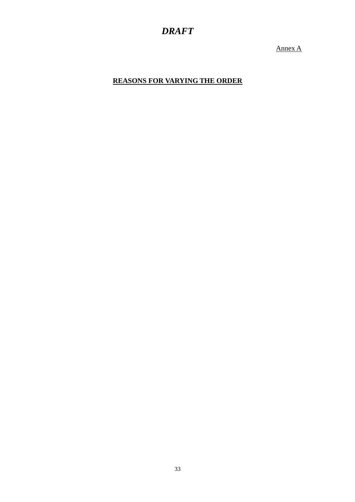Annex A

**REASONS FOR VARYING THE ORDER**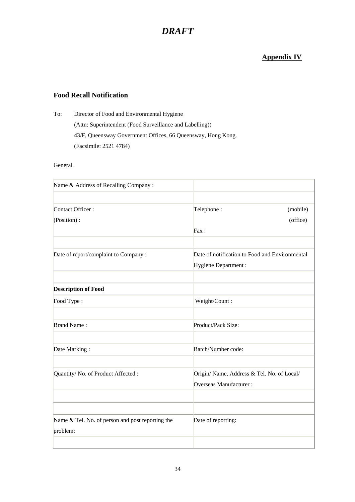### **Appendix IV**

#### **Food Recall Notification**

To: Director of Food and Environmental Hygiene (Attn: Superintendent (Food Surveillance and Labelling)) 43/F, Queensway Government Offices, 66 Queensway, Hong Kong. (Facsimile: 2521 4784)

#### **General**

| Name & Address of Recalling Company:                         |                                                                      |
|--------------------------------------------------------------|----------------------------------------------------------------------|
|                                                              |                                                                      |
| Contact Officer:                                             | Telephone:<br>(mobile)                                               |
| (Position):                                                  | (office)                                                             |
|                                                              | Fax:                                                                 |
|                                                              |                                                                      |
| Date of report/complaint to Company :                        | Date of notification to Food and Environmental                       |
|                                                              | Hygiene Department :                                                 |
| <b>Description of Food</b>                                   |                                                                      |
| Food Type:                                                   | Weight/Count:                                                        |
| <b>Brand Name:</b>                                           | Product/Pack Size:                                                   |
| Date Marking:                                                | Batch/Number code:                                                   |
| Quantity/ No. of Product Affected :                          | Origin/ Name, Address & Tel. No. of Local/<br>Overseas Manufacturer: |
|                                                              |                                                                      |
| Name & Tel. No. of person and post reporting the<br>problem: | Date of reporting:                                                   |
|                                                              |                                                                      |